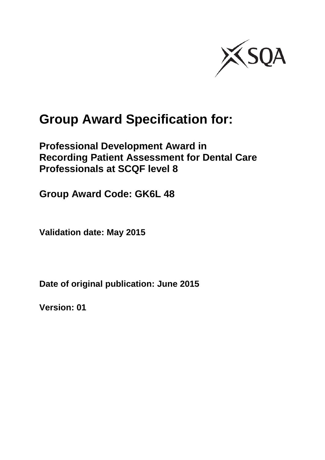

# **Group Award Specification for:**

### **Professional Development Award in Recording Patient Assessment for Dental Care Professionals at SCQF level 8**

**Group Award Code: GK6L 48**

**Validation date: May 2015**

**Date of original publication: June 2015**

**Version: 01**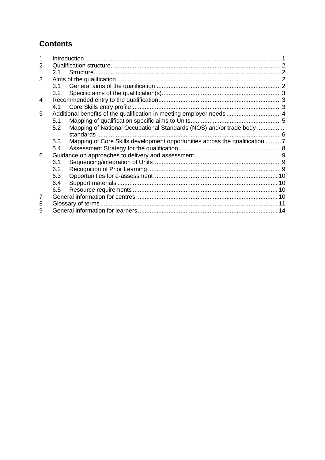### **Contents**

| 2.1 |                                                                              |  |
|-----|------------------------------------------------------------------------------|--|
|     |                                                                              |  |
| 3.1 |                                                                              |  |
| 3.2 |                                                                              |  |
|     |                                                                              |  |
| 4.1 |                                                                              |  |
|     |                                                                              |  |
| 5.1 |                                                                              |  |
| 5.2 | Mapping of National Occupational Standards (NOS) and/or trade body           |  |
|     |                                                                              |  |
| 5.3 | Mapping of Core Skills development opportunities across the qualification  7 |  |
| 5.4 |                                                                              |  |
|     |                                                                              |  |
| 6.1 |                                                                              |  |
| 6.2 |                                                                              |  |
| 6.3 |                                                                              |  |
| 6.4 |                                                                              |  |
| 6.5 |                                                                              |  |
|     |                                                                              |  |
|     |                                                                              |  |
|     |                                                                              |  |
|     |                                                                              |  |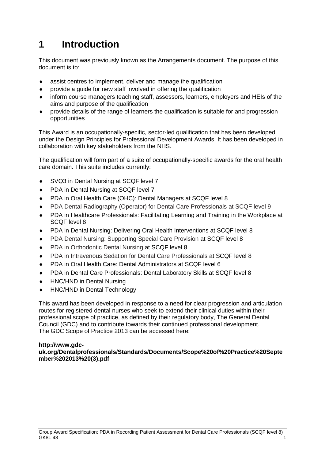## <span id="page-2-0"></span>**1 Introduction**

This document was previously known as the Arrangements document. The purpose of this document is to:

- assist centres to implement, deliver and manage the qualification
- provide a guide for new staff involved in offering the qualification
- inform course managers teaching staff, assessors, learners, employers and HEIs of the aims and purpose of the qualification
- provide details of the range of learners the qualification is suitable for and progression opportunities

This Award is an occupationally-specific, sector-led qualification that has been developed under the Design Principles for Professional Development Awards. It has been developed in collaboration with key stakeholders from the NHS.

The qualification will form part of a suite of occupationally-specific awards for the oral health care domain. This suite includes currently:

- ◆ SVQ3 in Dental Nursing at SCQF level 7
- ◆ PDA in Dental Nursing at SCQF level 7
- ◆ PDA in Oral Health Care (OHC): Dental Managers at SCQF level 8
- PDA Dental Radiography (Operator) for Dental Care Professionals at SCQF level 9
- PDA in Healthcare Professionals: Facilitating Learning and Training in the Workplace at SCQF level 8
- ◆ PDA in Dental Nursing: Delivering Oral Health Interventions at SCQF level 8
- PDA Dental Nursing: Supporting Special Care Provision at SCQF level 8
- ◆ PDA in Orthodontic Dental Nursing at SCQF level 8
- PDA in Intravenous Sedation for Dental Care Professionals at SCQF level 8
- PDA in Oral Health Care: Dental Administrators at SCQF level 6
- ◆ PDA in Dental Care Professionals: Dental Laboratory Skills at SCQF level 8
- ◆ HNC/HND in Dental Nursing
- ◆ HNC/HND in Dental Technology

This award has been developed in response to a need for clear progression and articulation routes for registered dental nurses who seek to extend their clinical duties within their professional scope of practice, as defined by their regulatory body, The General Dental Council (GDC) and to contribute towards their continued professional development. The GDC Scope of Practice 2013 can be accessed here:

#### **http://www.gdc-**

**uk.org/Dentalprofessionals/Standards/Documents/Scope%20of%20Practice%20Septe mber%202013%20(3).pdf**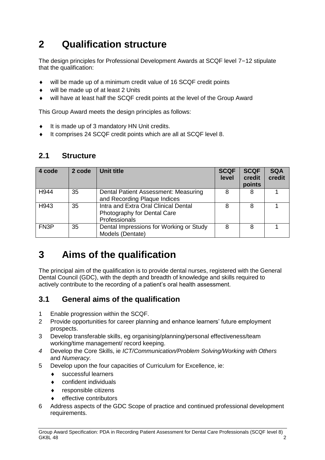## <span id="page-3-0"></span>**2 Qualification structure**

The design principles for Professional Development Awards at SCQF level 7–12 stipulate that the qualification:

- will be made up of a minimum credit value of 16 SCQF credit points
- ◆ will be made up of at least 2 Units
- will have at least half the SCQF credit points at the level of the Group Award

This Group Award meets the design principles as follows:

- $\bullet$  It is made up of 3 mandatory HN Unit credits.
- It comprises 24 SCQF credit points which are all at SCQF level 8.

#### <span id="page-3-1"></span>**2.1 Structure**

| 4 code            | 2 code | Unit title                                                                           | <b>SCQF</b><br>level | <b>SCQF</b><br>credit<br>points | <b>SQA</b><br>credit |
|-------------------|--------|--------------------------------------------------------------------------------------|----------------------|---------------------------------|----------------------|
| H <sub>944</sub>  | 35     | Dental Patient Assessment: Measuring<br>and Recording Plaque Indices                 | 8                    | 8                               |                      |
| H943              | 35     | Intra and Extra Oral Clinical Dental<br>Photography for Dental Care<br>Professionals | 8                    | 8                               |                      |
| FN <sub>3</sub> P | 35     | Dental Impressions for Working or Study<br>Models (Dentate)                          | 8                    | 8                               |                      |

## <span id="page-3-2"></span>**3 Aims of the qualification**

The principal aim of the qualification is to provide dental nurses, registered with the General Dental Council (GDC), with the depth and breadth of knowledge and skills required to actively contribute to the recording of a patient's oral health assessment.

#### <span id="page-3-3"></span>**3.1 General aims of the qualification**

- 1 Enable progression within the SCQF.
- 2 Provide opportunities for career planning and enhance learners' future employment prospects.
- 3 Develop transferable skills, eg organising/planning/personal effectiveness/team working/time management/ record keeping.
- *4* Develop the Core Skills, ie *ICT/Communication/Problem Solving/Working with Others*  and *Numeracy.*
- 5 Develop upon the four capacities of Curriculum for Excellence, ie:
	- successful learners
	- confident individuals
	- responsible citizens
	- effective contributors
- 6 Address aspects of the GDC Scope of practice and continued professional development requirements.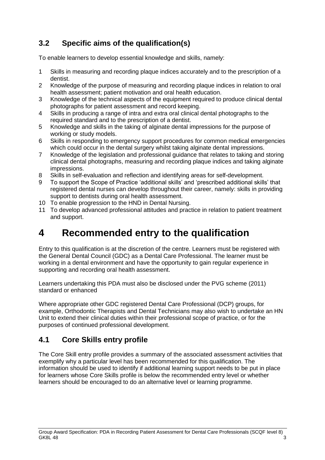### <span id="page-4-0"></span>**3.2 Specific aims of the qualification(s)**

To enable learners to develop essential knowledge and skills, namely:

- 1 Skills in measuring and recording plaque indices accurately and to the prescription of a dentist.
- 2 Knowledge of the purpose of measuring and recording plaque indices in relation to oral health assessment; patient motivation and oral health education.
- 3 Knowledge of the technical aspects of the equipment required to produce clinical dental photographs for patient assessment and record keeping.
- 4 Skills in producing a range of intra and extra oral clinical dental photographs to the required standard and to the prescription of a dentist.
- 5 Knowledge and skills in the taking of alginate dental impressions for the purpose of working or study models.
- 6 Skills in responding to emergency support procedures for common medical emergencies which could occur in the dental surgery whilst taking alginate dental impressions.
- 7 Knowledge of the legislation and professional guidance that relates to taking and storing clinical dental photographs, measuring and recording plaque indices and taking alginate impressions.
- 8 Skills in self-evaluation and reflection and identifying areas for self-development.
- 9 To support the Scope of Practice 'additional skills' and 'prescribed additional skills' that registered dental nurses can develop throughout their career, namely: skills in providing support to dentists during oral health assessment.
- 10 To enable progression to the HND in Dental Nursing.
- 11 To develop advanced professional attitudes and practice in relation to patient treatment and support.

## <span id="page-4-1"></span>**4 Recommended entry to the qualification**

Entry to this qualification is at the discretion of the centre. Learners must be registered with the General Dental Council (GDC) as a Dental Care Professional. The learner must be working in a dental environment and have the opportunity to gain regular experience in supporting and recording oral health assessment.

Learners undertaking this PDA must also be disclosed under the PVG scheme (2011) standard or enhanced

Where appropriate other GDC registered Dental Care Professional (DCP) groups, for example, Orthodontic Therapists and Dental Technicians may also wish to undertake an HN Unit to extend their clinical duties within their professional scope of practice, or for the purposes of continued professional development.

### <span id="page-4-2"></span>**4.1 Core Skills entry profile**

The Core Skill entry profile provides a summary of the associated assessment activities that exemplify why a particular level has been recommended for this qualification. The information should be used to identify if additional learning support needs to be put in place for learners whose Core Skills profile is below the recommended entry level or whether learners should be encouraged to do an alternative level or learning programme.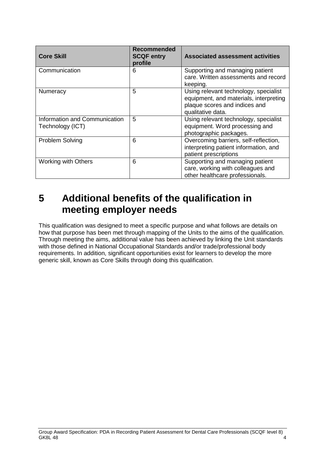| <b>Core Skill</b>                                 | Recommended<br><b>SCQF entry</b><br>profile | <b>Associated assessment activities</b>                                                                                               |
|---------------------------------------------------|---------------------------------------------|---------------------------------------------------------------------------------------------------------------------------------------|
| Communication                                     | 6                                           | Supporting and managing patient<br>care. Written assessments and record<br>keeping.                                                   |
| Numeracy                                          | 5                                           | Using relevant technology, specialist<br>equipment, and materials, interpreting<br>plaque scores and indices and<br>qualitative data. |
| Information and Communication<br>Technology (ICT) | 5                                           | Using relevant technology, specialist<br>equipment. Word processing and<br>photographic packages.                                     |
| <b>Problem Solving</b>                            | 6                                           | Overcoming barriers, self-reflection,<br>interpreting patient information, and<br>patient prescriptions                               |
| <b>Working with Others</b>                        | 6                                           | Supporting and managing patient<br>care, working with colleagues and<br>other healthcare professionals.                               |

### <span id="page-5-0"></span>**5 Additional benefits of the qualification in meeting employer needs**

This qualification was designed to meet a specific purpose and what follows are details on how that purpose has been met through mapping of the Units to the aims of the qualification. Through meeting the aims, additional value has been achieved by linking the Unit standards with those defined in National Occupational Standards and/or trade/professional body requirements. In addition, significant opportunities exist for learners to develop the more generic skill, known as Core Skills through doing this qualification.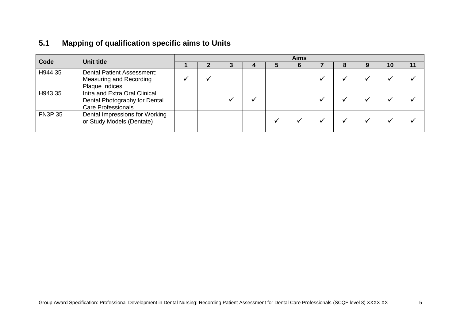### **5.1 Mapping of qualification specific aims to Units**

<span id="page-6-0"></span>

| Code           | Unit title                                                                                  | <b>Aims</b> |  |  |  |  |  |  |  |  |    |    |
|----------------|---------------------------------------------------------------------------------------------|-------------|--|--|--|--|--|--|--|--|----|----|
|                |                                                                                             |             |  |  |  |  |  |  |  |  | 10 | 11 |
| H944 35        | <b>Dental Patient Assessment:</b><br>Measuring and Recording<br>Plaque Indices              |             |  |  |  |  |  |  |  |  |    |    |
| H943 35        | Intra and Extra Oral Clinical<br>Dental Photography for Dental<br><b>Care Professionals</b> |             |  |  |  |  |  |  |  |  |    |    |
| <b>FN3P 35</b> | Dental Impressions for Working<br>or Study Models (Dentate)                                 |             |  |  |  |  |  |  |  |  |    |    |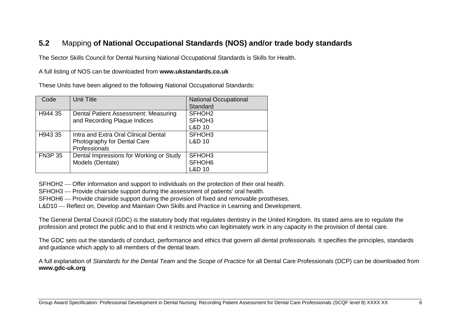### **5.2** Mapping **of National Occupational Standards (NOS) and/or trade body standards**

The Sector Skills Council for Dental Nursing National Occupational Standards is Skills for Health.

#### A full listing of NOS can be downloaded from **www.ukstandards.co.uk**

These Units have been aligned to the following National Occupational Standards:

| Code           | <b>Unit Title</b>                       | <b>National Occupational</b> |
|----------------|-----------------------------------------|------------------------------|
|                |                                         | Standard                     |
| H944 35        | Dental Patient Assessment: Measuring    | SFHOH <sub>2</sub>           |
|                | and Recording Plaque Indices            | SFHOH <sub>3</sub>           |
|                |                                         | <b>L&amp;D 10</b>            |
| H943 35        | Intra and Extra Oral Clinical Dental    | SFHOH <sub>3</sub>           |
|                | Photography for Dental Care             | <b>L&amp;D 10</b>            |
|                | Professionals                           |                              |
| <b>FN3P 35</b> | Dental Impressions for Working or Study | SFHOH <sub>3</sub>           |
|                | Models (Dentate)                        | SFHOH <sub>6</sub>           |
|                |                                         | L&D 10                       |

<span id="page-7-0"></span>SFHOH2 — Offer information and support to individuals on the protection of their oral health.

SFHOH3 Provide chairside support during the assessment of patients' oral health.

SFHOH6 – Provide chairside support during the provision of fixed and removable prostheses.

L&D10 – Reflect on, Develop and Maintain Own Skills and Practice in Learning and Development.

The General Dental Council (GDC) is the statutory body that regulates dentistry in the United Kingdom. Its stated aims are to regulate the profession and protect the public and to that end it restricts who can legitimately work in any capacity in the provision of dental care.

The GDC sets out the standards of conduct, performance and ethics that govern all dental professionals. It specifies the principles, standards and guidance which apply to all members of the dental team.

A full explanation of *Standards for the Dental Team* and the *Scope of Practice* for all Dental Care Professionals (DCP) can be downloaded from **[www.gdc-uk.org](http://www.gdc-uk.org/)**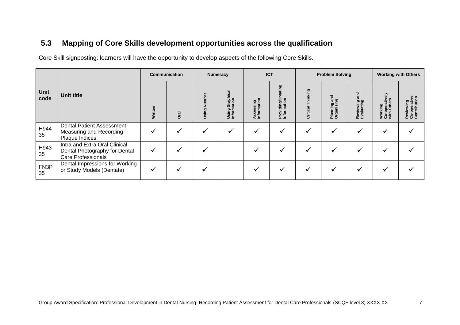### **5.3 Mapping of Core Skills development opportunities across the qualification**

Core Skill signposting: learners will have the opportunity to develop aspects of the following Core Skills.

<span id="page-8-0"></span>

|                     |                                                                                      | <b>Communication</b> |              | <b>Numeracy</b> |                                       | <b>ICT</b>               |                                      | <b>Problem Solving</b> |                                            |                         | <b>Working with Others</b>                  |                                           |
|---------------------|--------------------------------------------------------------------------------------|----------------------|--------------|-----------------|---------------------------------------|--------------------------|--------------------------------------|------------------------|--------------------------------------------|-------------------------|---------------------------------------------|-------------------------------------------|
| <b>Unit</b><br>code | <b>Unit title</b>                                                                    | Written              | Drai         | Numbe<br>Using  | aphical<br>Using Graph<br>Information | Accessing<br>Information | ating<br>Providing/Cr<br>Information | Thinking<br>Critical   | gue<br>ក្ខ<br>ဥ<br>Planni<br>Organi<br>gan | Reviewing<br>Evaluating | 즚<br>Working<br>Co-operative<br>with Others | Reviewing<br>Co-operative<br>Contribution |
| H944<br>35          | <b>Dental Patient Assessment:</b><br>Measuring and Recording<br>Plaque Indices       | $\checkmark$         |              |                 |                                       | v                        |                                      |                        |                                            |                         | ✔                                           |                                           |
| H943<br>35          | Intra and Extra Oral Clinical<br>Dental Photography for Dental<br>Care Professionals | $\checkmark$         | $\checkmark$ |                 |                                       |                          |                                      |                        |                                            |                         |                                             |                                           |
| FN3P<br>35          | Dental Impressions for Working<br>or Study Models (Dentate)                          | $\checkmark$         | ✓            |                 |                                       | ∙                        |                                      |                        | $\checkmark$                               |                         | ✔                                           |                                           |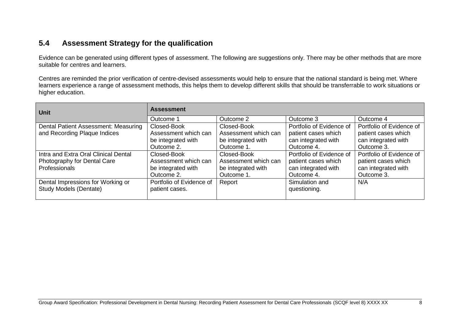### **5.4 Assessment Strategy for the qualification**

Evidence can be generated using different types of assessment. The following are suggestions only. There may be other methods that are more suitable for centres and learners.

Centres are reminded the prior verification of centre-devised assessments would help to ensure that the national standard is being met. Where learners experience a range of assessment methods, this helps them to develop different skills that should be transferrable to work situations or higher education.

<span id="page-9-0"></span>

| Unit                                 | <b>Assessment</b>        |                      |                          |                          |
|--------------------------------------|--------------------------|----------------------|--------------------------|--------------------------|
|                                      | Outcome 1                | Outcome 2            | Outcome 3                | Outcome 4                |
| Dental Patient Assessment: Measuring | Closed-Book              | Closed-Book          | Portfolio of Evidence of | Portfolio of Evidence of |
| and Recording Plaque Indices         | Assessment which can     | Assessment which can | patient cases which      | patient cases which      |
|                                      | be integrated with       | be integrated with   | can integrated with      | can integrated with      |
|                                      | Outcome 2.               | Outcome 1.           | Outcome 4.               | Outcome 3.               |
| Intra and Extra Oral Clinical Dental | Closed-Book              | Closed-Book          | Portfolio of Evidence of | Portfolio of Evidence of |
| Photography for Dental Care          | Assessment which can     | Assessment which can | patient cases which      | patient cases which      |
| Professionals                        | be integrated with       | be integrated with   | can integrated with      | can integrated with      |
|                                      | Outcome 2.               | Outcome 1.           | Outcome 4.               | Outcome 3.               |
| Dental Impressions for Working or    | Portfolio of Evidence of | Report               | Simulation and           | N/A                      |
| <b>Study Models (Dentate)</b>        | patient cases.           |                      | questioning.             |                          |
|                                      |                          |                      |                          |                          |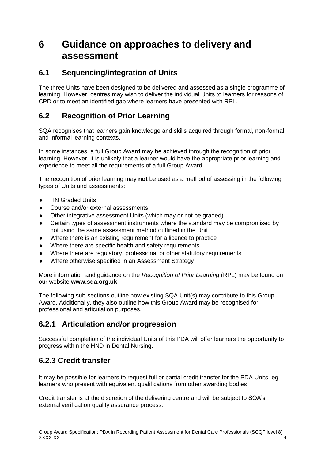### <span id="page-10-0"></span>**6 Guidance on approaches to delivery and assessment**

#### <span id="page-10-1"></span>**6.1 Sequencing/integration of Units**

The three Units have been designed to be delivered and assessed as a single programme of learning. However, centres may wish to deliver the individual Units to learners for reasons of CPD or to meet an identified gap where learners have presented with RPL.

#### <span id="page-10-2"></span>**6.2 Recognition of Prior Learning**

SQA recognises that learners gain knowledge and skills acquired through formal, non-formal and informal learning contexts.

In some instances, a full Group Award may be achieved through the recognition of prior learning. However, it is unlikely that a learner would have the appropriate prior learning and experience to meet all the requirements of a full Group Award.

The recognition of prior learning may **not** be used as a method of assessing in the following types of Units and assessments:

- ◆ HN Graded Units
- Course and/or external assessments
- Other integrative assessment Units (which may or not be graded)
- Certain types of assessment instruments where the standard may be compromised by not using the same assessment method outlined in the Unit
- Where there is an existing requirement for a licence to practice
- Where there are specific health and safety requirements
- Where there are regulatory, professional or other statutory requirements
- Where otherwise specified in an Assessment Strategy

More information and guidance on the *Recognition of Prior Learning* (RPL) may be found on our website **[www.sqa.org.uk](http://www.sqa.org.uk/)**

The following sub-sections outline how existing SQA Unit(s) may contribute to this Group Award. Additionally, they also outline how this Group Award may be recognised for professional and articulation purposes.

#### **6.2.1 Articulation and/or progression**

Successful completion of the individual Units of this PDA will offer learners the opportunity to progress within the HND in Dental Nursing.

#### **6.2.3 Credit transfer**

It may be possible for learners to request full or partial credit transfer for the PDA Units, eg learners who present with equivalent qualifications from other awarding bodies

Credit transfer is at the discretion of the delivering centre and will be subject to SQA's external verification quality assurance process.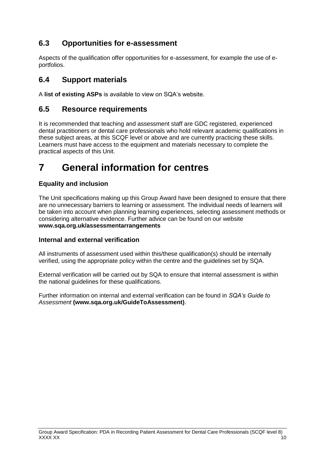### <span id="page-11-0"></span>**6.3 Opportunities for e-assessment**

Aspects of the qualification offer opportunities for e-assessment, for example the use of eportfolios.

#### <span id="page-11-1"></span>**6.4 Support materials**

A **[list of existing ASPs](http://www.sqa.org.uk/sqa/46233.2769.html)** is available to view on SQA's website.

#### <span id="page-11-2"></span>**6.5 Resource requirements**

It is recommended that teaching and assessment staff are GDC registered, experienced dental practitioners or dental care professionals who hold relevant academic qualifications in these subject areas, at this SCQF level or above and are currently practicing these skills. Learners must have access to the equipment and materials necessary to complete the practical aspects of this Unit.

## <span id="page-11-3"></span>**7 General information for centres**

#### **Equality and inclusion**

The Unit specifications making up this Group Award have been designed to ensure that there are no unnecessary barriers to learning or assessment. The individual needs of learners will be taken into account when planning learning experiences, selecting assessment methods or considering alternative evidence. Further advice can be found on our website **[www.sqa.org.uk/assessmentarrangements](http://www.sqa.org.uk/sqa/14977.html)**

#### **Internal and external verification**

All instruments of assessment used within this/these qualification(s) should be internally verified, using the appropriate policy within the centre and the guidelines set by SQA.

External verification will be carried out by SQA to ensure that internal assessment is within the national guidelines for these qualifications.

Further information on internal and external verification can be found in *SQA's Guide to Assessment* **[\(www.sqa.org.uk/GuideToAssessment\)](http://www.sqa.org.uk/sqa/files_ccc/GuideToAssessment.pdf)**.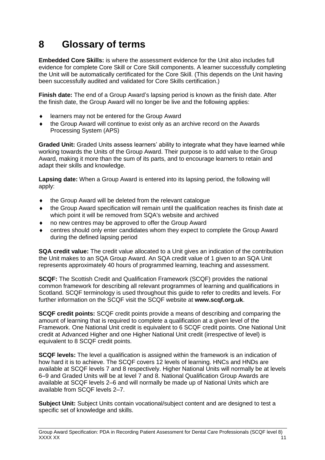## <span id="page-12-0"></span>**8 Glossary of terms**

**Embedded Core Skills:** is where the assessment evidence for the Unit also includes full evidence for complete Core Skill or Core Skill components. A learner successfully completing the Unit will be automatically certificated for the Core Skill. (This depends on the Unit having been successfully audited and validated for Core Skills certification.)

**Finish date:** The end of a Group Award's lapsing period is known as the finish date. After the finish date, the Group Award will no longer be live and the following applies:

- learners may not be entered for the Group Award
- the Group Award will continue to exist only as an archive record on the Awards Processing System (APS)

**Graded Unit:** Graded Units assess learners' ability to integrate what they have learned while working towards the Units of the Group Award. Their purpose is to add value to the Group Award, making it more than the sum of its parts, and to encourage learners to retain and adapt their skills and knowledge.

**Lapsing date:** When a Group Award is entered into its lapsing period, the following will apply:

- the Group Award will be deleted from the relevant catalogue
- the Group Award specification will remain until the qualification reaches its finish date at which point it will be removed from SQA's website and archived
- no new centres may be approved to offer the Group Award
- centres should only enter candidates whom they expect to complete the Group Award during the defined lapsing period

**SQA credit value:** The credit value allocated to a Unit gives an indication of the contribution the Unit makes to an SQA Group Award. An SQA credit value of 1 given to an SQA Unit represents approximately 40 hours of programmed learning, teaching and assessment.

**SCQF:** The Scottish Credit and Qualification Framework (SCQF) provides the national common framework for describing all relevant programmes of learning and qualifications in Scotland. SCQF terminology is used throughout this guide to refer to credits and levels. For further information on the SCQF visit the SCQF website at **[www.scqf.org.uk](http://www.scqf.org.uk/)**.

**SCQF credit points:** SCQF credit points provide a means of describing and comparing the amount of learning that is required to complete a qualification at a given level of the Framework. One National Unit credit is equivalent to 6 SCQF credit points. One National Unit credit at Advanced Higher and one Higher National Unit credit (irrespective of level) is equivalent to 8 SCQF credit points.

**SCQF levels:** The level a qualification is assigned within the framework is an indication of how hard it is to achieve. The SCQF covers 12 levels of learning. HNCs and HNDs are available at SCQF levels 7 and 8 respectively. Higher National Units will normally be at levels 6–9 and Graded Units will be at level 7 and 8. National Qualification Group Awards are available at SCQF levels 2–6 and will normally be made up of National Units which are available from SCQF levels 2–7.

**Subject Unit:** Subject Units contain vocational/subject content and are designed to test a specific set of knowledge and skills.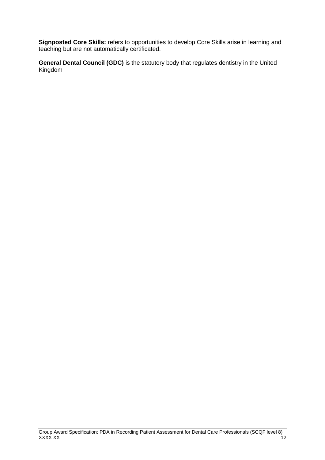**Signposted Core Skills:** refers to opportunities to develop Core Skills arise in learning and teaching but are not automatically certificated.

**General Dental Council (GDC)** is the statutory body that regulates dentistry in the United Kingdom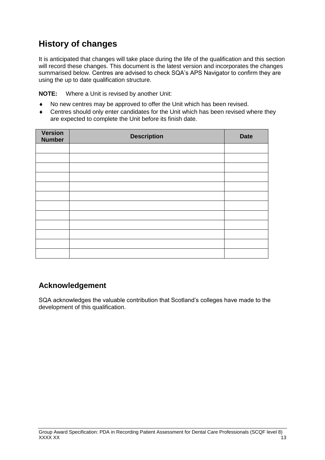### **History of changes**

It is anticipated that changes will take place during the life of the qualification and this section will record these changes. This document is the latest version and incorporates the changes summarised below. Centres are advised to check SQA's APS Navigator to confirm they are using the up to date qualification structure.

**NOTE:** Where a Unit is revised by another Unit:

- No new centres may be approved to offer the Unit which has been revised.
- Centres should only enter candidates for the Unit which has been revised where they are expected to complete the Unit before its finish date.

| Version<br><b>Number</b> | <b>Description</b> | <b>Date</b> |
|--------------------------|--------------------|-------------|
|                          |                    |             |
|                          |                    |             |
|                          |                    |             |
|                          |                    |             |
|                          |                    |             |
|                          |                    |             |
|                          |                    |             |
|                          |                    |             |
|                          |                    |             |
|                          |                    |             |
|                          |                    |             |
|                          |                    |             |

### **Acknowledgement**

SQA acknowledges the valuable contribution that Scotland's colleges have made to the development of this qualification.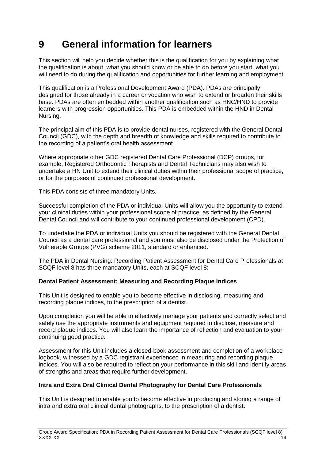## <span id="page-15-0"></span>**9 General information for learners**

This section will help you decide whether this is the qualification for you by explaining what the qualification is about, what you should know or be able to do before you start, what you will need to do during the qualification and opportunities for further learning and employment.

This qualification is a Professional Development Award (PDA). PDAs are principally designed for those already in a career or vocation who wish to extend or broaden their skills base. PDAs are often embedded within another qualification such as HNC/HND to provide learners with progression opportunities. This PDA is embedded within the HND in Dental Nursing.

The principal aim of this PDA is to provide dental nurses, registered with the General Dental Council (GDC), with the depth and breadth of knowledge and skills required to contribute to the recording of a patient's oral health assessment.

Where appropriate other GDC registered Dental Care Professional (DCP) groups, for example, Registered Orthodontic Therapists and Dental Technicians may also wish to undertake a HN Unit to extend their clinical duties within their professional scope of practice, or for the purposes of continued professional development.

This PDA consists of three mandatory Units.

Successful completion of the PDA or individual Units will allow you the opportunity to extend your clinical duties within your professional scope of practice, as defined by the General Dental Council and will contribute to your continued professional development (CPD).

To undertake the PDA or individual Units you should be registered with the General Dental Council as a dental care professional and you must also be disclosed under the Protection of Vulnerable Groups (PVG) scheme 2011, standard or enhanced.

The PDA in Dental Nursing: Recording Patient Assessment for Dental Care Professionals at SCQF level 8 has three mandatory Units, each at SCQF level 8:

#### **Dental Patient Assessment: Measuring and Recording Plaque Indices**

This Unit is designed to enable you to become effective in disclosing, measuring and recording plaque indices, to the prescription of a dentist.

Upon completion you will be able to effectively manage your patients and correctly select and safely use the appropriate instruments and equipment required to disclose, measure and record plaque indices. You will also learn the importance of reflection and evaluation to your continuing good practice.

Assessment for this Unit includes a closed-book assessment and completion of a workplace logbook, witnessed by a GDC registrant experienced in measuring and recording plaque indices. You will also be required to reflect on your performance in this skill and identify areas of strengths and areas that require further development.

#### **Intra and Extra Oral Clinical Dental Photography for Dental Care Professionals**

This Unit is designed to enable you to become effective in producing and storing a range of intra and extra oral clinical dental photographs, to the prescription of a dentist.